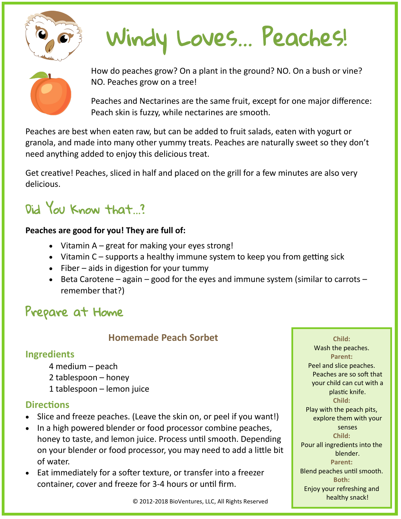

# Windy Loves… Peaches!



How do peaches grow? On a plant in the ground? NO. On a bush or vine? NO. Peaches grow on a tree!

Peaches and Nectarines are the same fruit, except for one major difference: Peach skin is fuzzy, while nectarines are smooth.

Peaches are best when eaten raw, but can be added to fruit salads, eaten with yogurt or granola, and made into many other yummy treats. Peaches are naturally sweet so they don't need anything added to enjoy this delicious treat.

Get creative! Peaches, sliced in half and placed on the grill for a few minutes are also very delicious.

# Did You Know that...?

#### **Peaches are good for you! They are full of:**

- Vitamin  $A -$  great for making your eyes strong!
- Vitamin C supports a healthy immune system to keep you from getting sick
- $\bullet$  Fiber aids in digestion for your tummy
- Beta Carotene again good for the eyes and immune system (similar to carrots remember that?)

## Prepare at Home

### **Homemade Peach Sorbet**

### **Ingredients**

- 4 medium peach
- 2 tablespoon honey
- 1 tablespoon lemon juice

#### **Directions**

- Slice and freeze peaches. (Leave the skin on, or peel if you want!)
- In a high powered blender or food processor combine peaches, honey to taste, and lemon juice. Process until smooth. Depending on your blender or food processor, you may need to add a little bit of water.
- Eat immediately for a softer texture, or transfer into a freezer container, cover and freeze for 3-4 hours or until firm.

**Child:** Wash the peaches. **Parent:** Peel and slice peaches. Peaches are so soft that your child can cut with a plastic knife. **Child:** Play with the peach pits, explore them with your senses **Child:** Pour all ingredients into the blender. **Parent:** Blend peaches until smooth. **Both:** Enjoy your refreshing and healthy snack!

© 2012-2018 BioVentures, LLC, All Rights Reserved